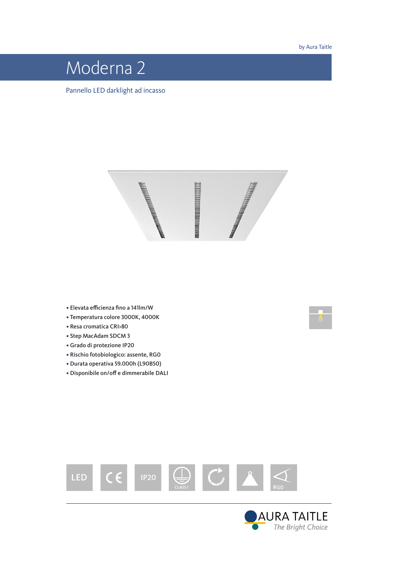by Aura Taitle

# Moderna 2

Pannello LED darklight ad incasso



- Elevata efficienza fino a 141lm/W
- Temperatura colore 3000K, 4000K
- Resa cromatica CRI>80
- Step MacAdam SDCM 3
- Grado di protezione IP20
- Rischio fotobiologico: assente, RG0
- Durata operativa 59.000h (L90B50)
- Disponibile on/off e dimmerabile DALI





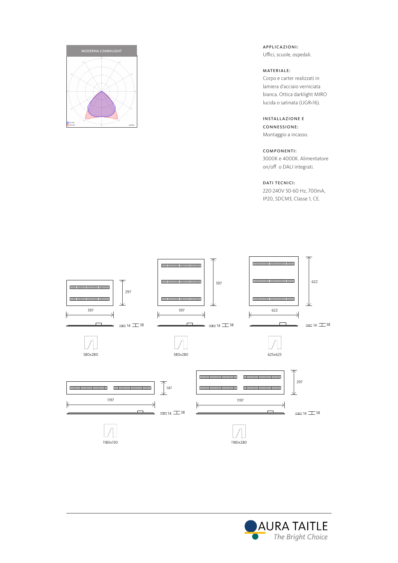

APPLICAZIONI: Uffici, scuole, ospedali.

#### MATERIALE:

Corpo e carter realizzati in lamiera d'acciaio verniciata bianca. Ottica darklight MIRO lucida o satinata (UGR<16).

#### INSTALLAZIONE E CONNESSIONE:

Montaggio a incasso.

## COMPONENTI:

3000K e 4000K. Alimentatore on/off o DALI integrati.

### DATI TECNICI:

220-240V 50-60 Hz, 700mA, IP20, SDCM3, Classe 1, CE.